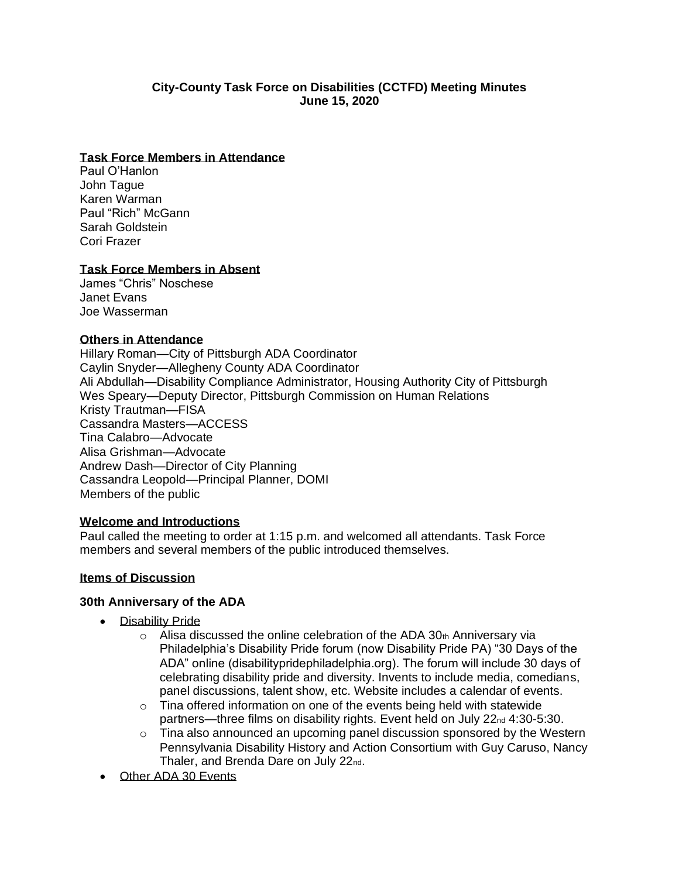### **City-County Task Force on Disabilities (CCTFD) Meeting Minutes June 15, 2020**

#### **Task Force Members in Attendance**

Paul O'Hanlon John Tague Karen Warman Paul "Rich" McGann Sarah Goldstein Cori Frazer

### **Task Force Members in Absent**

James "Chris" Noschese Janet Evans Joe Wasserman

### **Others in Attendance**

Hillary Roman—City of Pittsburgh ADA Coordinator Caylin Snyder—Allegheny County ADA Coordinator Ali Abdullah—Disability Compliance Administrator, Housing Authority City of Pittsburgh Wes Speary—Deputy Director, Pittsburgh Commission on Human Relations Kristy Trautman—FISA Cassandra Masters—ACCESS Tina Calabro—Advocate Alisa Grishman—Advocate Andrew Dash—Director of City Planning Cassandra Leopold—Principal Planner, DOMI Members of the public

### **Welcome and Introductions**

Paul called the meeting to order at 1:15 p.m. and welcomed all attendants. Task Force members and several members of the public introduced themselves.

### **Items of Discussion**

#### **30th Anniversary of the ADA**

- Disability Pride
	- $\circ$  Alisa discussed the online celebration of the ADA 30th Anniversary via Philadelphia's Disability Pride forum (now Disability Pride PA) "30 Days of the ADA" online (disabilitypridephiladelphia.org). The forum will include 30 days of celebrating disability pride and diversity. Invents to include media, comedians, panel discussions, talent show, etc. Website includes a calendar of events.
	- $\circ$  Tina offered information on one of the events being held with statewide partners—three films on disability rights. Event held on July 22<sub>nd</sub> 4:30-5:30.
	- $\circ$  Tina also announced an upcoming panel discussion sponsored by the Western Pennsylvania Disability History and Action Consortium with Guy Caruso, Nancy Thaler, and Brenda Dare on July 22nd.
- **Other ADA 30 Events**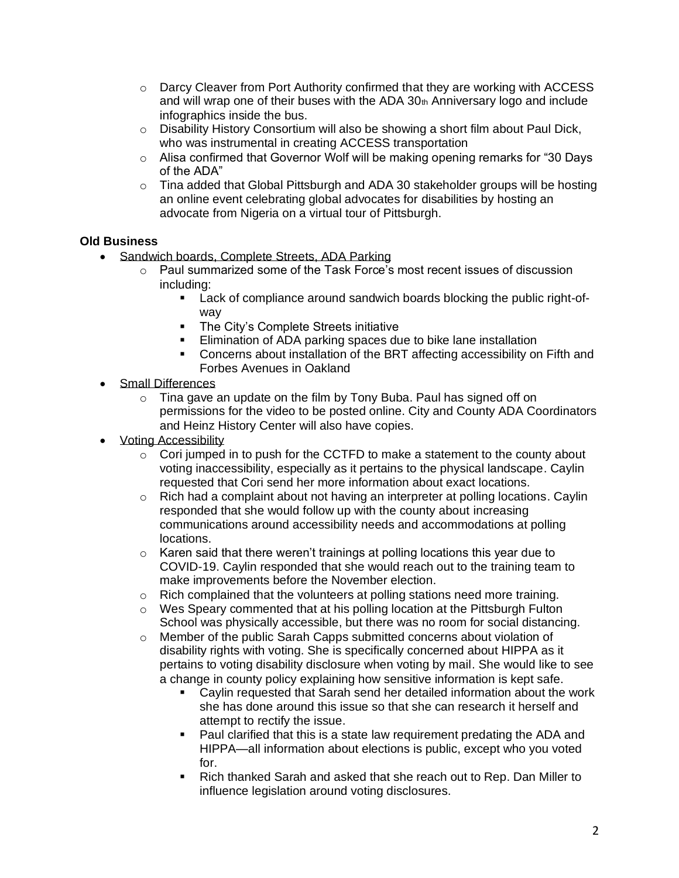- $\circ$  Darcy Cleaver from Port Authority confirmed that they are working with ACCESS and will wrap one of their buses with the ADA  $30<sub>th</sub>$  Anniversary logo and include infographics inside the bus.
- $\circ$  Disability History Consortium will also be showing a short film about Paul Dick, who was instrumental in creating ACCESS transportation
- $\circ$  Alisa confirmed that Governor Wolf will be making opening remarks for "30 Days" of the ADA"
- $\circ$  Tina added that Global Pittsburgh and ADA 30 stakeholder groups will be hosting an online event celebrating global advocates for disabilities by hosting an advocate from Nigeria on a virtual tour of Pittsburgh.

## **Old Business**

- Sandwich boards, Complete Streets, ADA Parking
	- o Paul summarized some of the Task Force's most recent issues of discussion including:
		- Lack of compliance around sandwich boards blocking the public right-ofway
		- The City's Complete Streets initiative
		- **Elimination of ADA parking spaces due to bike lane installation**
		- Concerns about installation of the BRT affecting accessibility on Fifth and Forbes Avenues in Oakland
- Small Differences
	- o Tina gave an update on the film by Tony Buba. Paul has signed off on permissions for the video to be posted online. City and County ADA Coordinators and Heinz History Center will also have copies.
- Voting Accessibility
	- $\circ$  Cori jumped in to push for the CCTFD to make a statement to the county about voting inaccessibility, especially as it pertains to the physical landscape. Caylin requested that Cori send her more information about exact locations.
	- $\circ$  Rich had a complaint about not having an interpreter at polling locations. Caylin responded that she would follow up with the county about increasing communications around accessibility needs and accommodations at polling locations.
	- $\circ$  Karen said that there weren't trainings at polling locations this year due to COVID-19. Caylin responded that she would reach out to the training team to make improvements before the November election.
	- $\circ$  Rich complained that the volunteers at polling stations need more training.
	- $\circ$  Wes Speary commented that at his polling location at the Pittsburgh Fulton School was physically accessible, but there was no room for social distancing.
	- o Member of the public Sarah Capps submitted concerns about violation of disability rights with voting. She is specifically concerned about HIPPA as it pertains to voting disability disclosure when voting by mail. She would like to see a change in county policy explaining how sensitive information is kept safe.
		- Caylin requested that Sarah send her detailed information about the work she has done around this issue so that she can research it herself and attempt to rectify the issue.
		- Paul clarified that this is a state law requirement predating the ADA and HIPPA—all information about elections is public, except who you voted for.
		- Rich thanked Sarah and asked that she reach out to Rep. Dan Miller to influence legislation around voting disclosures.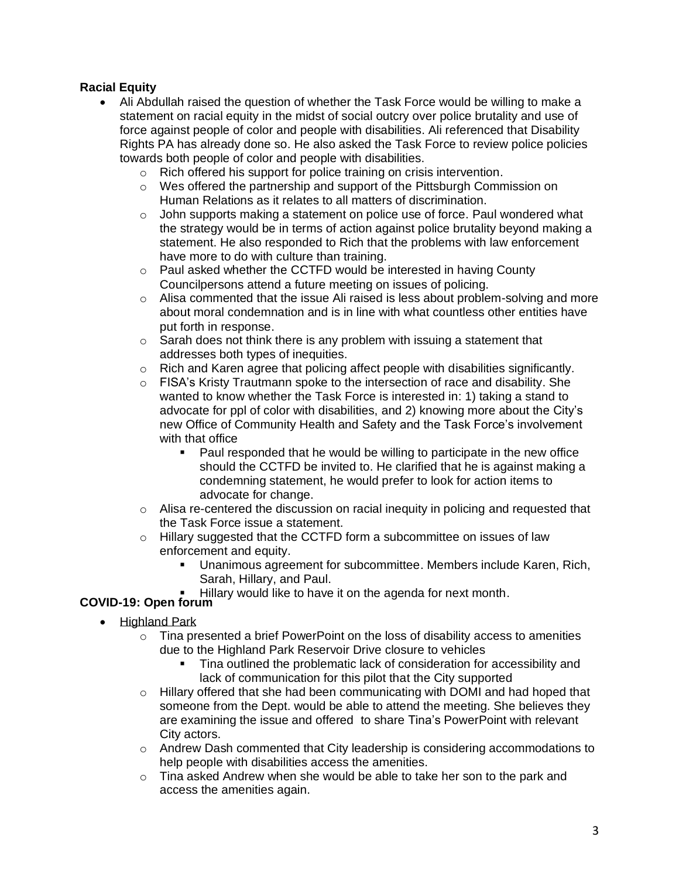# **Racial Equity**

- Ali Abdullah raised the question of whether the Task Force would be willing to make a statement on racial equity in the midst of social outcry over police brutality and use of force against people of color and people with disabilities. Ali referenced that Disability Rights PA has already done so. He also asked the Task Force to review police policies towards both people of color and people with disabilities.
	- o Rich offered his support for police training on crisis intervention.
	- o Wes offered the partnership and support of the Pittsburgh Commission on Human Relations as it relates to all matters of discrimination.
	- o John supports making a statement on police use of force. Paul wondered what the strategy would be in terms of action against police brutality beyond making a statement. He also responded to Rich that the problems with law enforcement have more to do with culture than training.
	- o Paul asked whether the CCTFD would be interested in having County Councilpersons attend a future meeting on issues of policing.
	- $\circ$  Alisa commented that the issue Ali raised is less about problem-solving and more about moral condemnation and is in line with what countless other entities have put forth in response.
	- $\circ$  Sarah does not think there is any problem with issuing a statement that addresses both types of inequities.
	- $\circ$  Rich and Karen agree that policing affect people with disabilities significantly.
	- $\circ$  FISA's Kristy Trautmann spoke to the intersection of race and disability. She wanted to know whether the Task Force is interested in: 1) taking a stand to advocate for ppl of color with disabilities, and 2) knowing more about the City's new Office of Community Health and Safety and the Task Force's involvement with that office
		- Paul responded that he would be willing to participate in the new office should the CCTFD be invited to. He clarified that he is against making a condemning statement, he would prefer to look for action items to advocate for change.
	- o Alisa re-centered the discussion on racial inequity in policing and requested that the Task Force issue a statement.
	- o Hillary suggested that the CCTFD form a subcommittee on issues of law enforcement and equity.
		- Unanimous agreement for subcommittee. Members include Karen, Rich, Sarah, Hillary, and Paul.
			- Hillary would like to have it on the agenda for next month.

# **COVID-19: Open forum**

- Highland Park
	- $\circ$  Tina presented a brief PowerPoint on the loss of disability access to amenities due to the Highland Park Reservoir Drive closure to vehicles
		- Tina outlined the problematic lack of consideration for accessibility and lack of communication for this pilot that the City supported
	- $\circ$  Hillary offered that she had been communicating with DOMI and had hoped that someone from the Dept. would be able to attend the meeting. She believes they are examining the issue and offered to share Tina's PowerPoint with relevant City actors.
	- $\circ$  Andrew Dash commented that City leadership is considering accommodations to help people with disabilities access the amenities.
	- $\circ$  Tina asked Andrew when she would be able to take her son to the park and access the amenities again.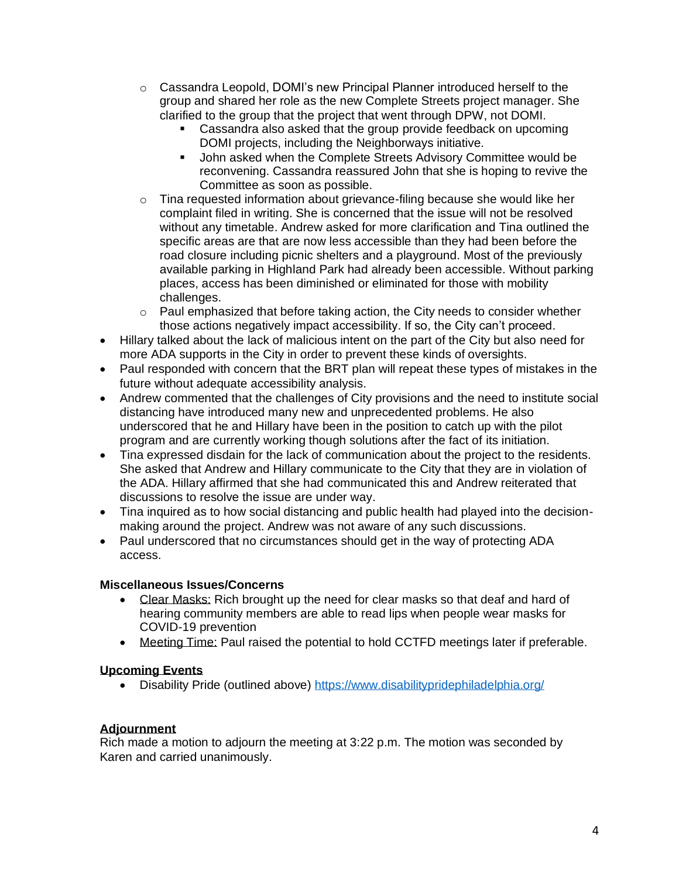- o Cassandra Leopold, DOMI's new Principal Planner introduced herself to the group and shared her role as the new Complete Streets project manager. She clarified to the group that the project that went through DPW, not DOMI.
	- Cassandra also asked that the group provide feedback on upcoming DOMI projects, including the Neighborways initiative.
	- John asked when the Complete Streets Advisory Committee would be reconvening. Cassandra reassured John that she is hoping to revive the Committee as soon as possible.
- $\circ$  Tina requested information about grievance-filing because she would like her complaint filed in writing. She is concerned that the issue will not be resolved without any timetable. Andrew asked for more clarification and Tina outlined the specific areas are that are now less accessible than they had been before the road closure including picnic shelters and a playground. Most of the previously available parking in Highland Park had already been accessible. Without parking places, access has been diminished or eliminated for those with mobility challenges.
- $\circ$  Paul emphasized that before taking action, the City needs to consider whether those actions negatively impact accessibility. If so, the City can't proceed.
- Hillary talked about the lack of malicious intent on the part of the City but also need for more ADA supports in the City in order to prevent these kinds of oversights.
- Paul responded with concern that the BRT plan will repeat these types of mistakes in the future without adequate accessibility analysis.
- Andrew commented that the challenges of City provisions and the need to institute social distancing have introduced many new and unprecedented problems. He also underscored that he and Hillary have been in the position to catch up with the pilot program and are currently working though solutions after the fact of its initiation.
- Tina expressed disdain for the lack of communication about the project to the residents. She asked that Andrew and Hillary communicate to the City that they are in violation of the ADA. Hillary affirmed that she had communicated this and Andrew reiterated that discussions to resolve the issue are under way.
- Tina inquired as to how social distancing and public health had played into the decisionmaking around the project. Andrew was not aware of any such discussions.
- Paul underscored that no circumstances should get in the way of protecting ADA access.

## **Miscellaneous Issues/Concerns**

- Clear Masks: Rich brought up the need for clear masks so that deaf and hard of hearing community members are able to read lips when people wear masks for COVID-19 prevention
- Meeting Time: Paul raised the potential to hold CCTFD meetings later if preferable.

# **Upcoming Events**

• Disability Pride (outlined above)<https://www.disabilitypridephiladelphia.org/>

## **Adjournment**

Rich made a motion to adjourn the meeting at 3:22 p.m. The motion was seconded by Karen and carried unanimously.